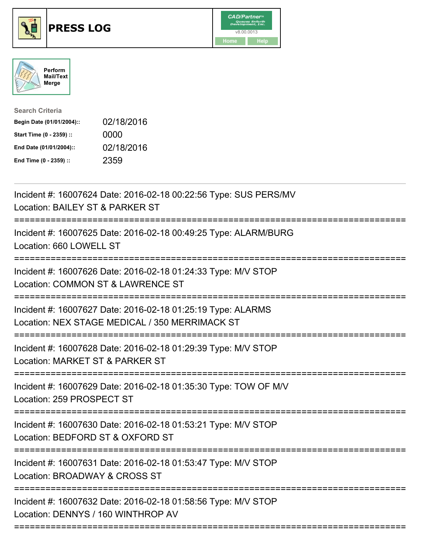





Search Criteria Begin Date (01/01/2004):: 02/18/2016 Start Time (0 - 2359) :: 0000 End Date (01/01/2004):: 02/18/2016 End Time (0 - 2359) :: 2359

| Incident #: 16007624 Date: 2016-02-18 00:22:56 Type: SUS PERS/MV<br>Location: BAILEY ST & PARKER ST                                       |
|-------------------------------------------------------------------------------------------------------------------------------------------|
| Incident #: 16007625 Date: 2016-02-18 00:49:25 Type: ALARM/BURG<br>Location: 660 LOWELL ST                                                |
| Incident #: 16007626 Date: 2016-02-18 01:24:33 Type: M/V STOP<br>Location: COMMON ST & LAWRENCE ST                                        |
| Incident #: 16007627 Date: 2016-02-18 01:25:19 Type: ALARMS<br>Location: NEX STAGE MEDICAL / 350 MERRIMACK ST                             |
| Incident #: 16007628 Date: 2016-02-18 01:29:39 Type: M/V STOP<br>Location: MARKET ST & PARKER ST                                          |
| Incident #: 16007629 Date: 2016-02-18 01:35:30 Type: TOW OF M/V<br>Location: 259 PROSPECT ST<br>-------------                             |
| Incident #: 16007630 Date: 2016-02-18 01:53:21 Type: M/V STOP<br>Location: BEDFORD ST & OXFORD ST                                         |
| Incident #: 16007631 Date: 2016-02-18 01:53:47 Type: M/V STOP<br>Location: BROADWAY & CROSS ST                                            |
| Incident #: 16007632 Date: 2016-02-18 01:58:56 Type: M/V STOP<br>Location: DENNYS / 160 WINTHROP AV<br>====================<br>---------- |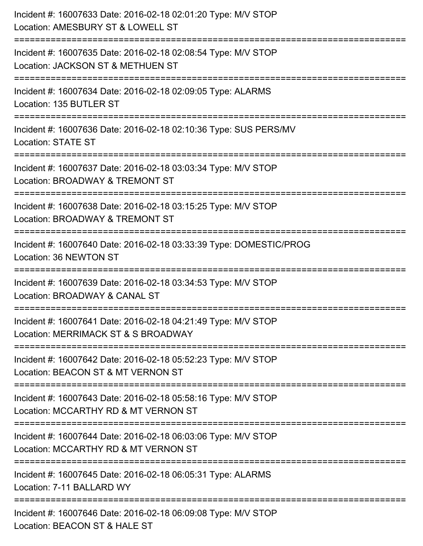| Incident #: 16007633 Date: 2016-02-18 02:01:20 Type: M/V STOP<br>Location: AMESBURY ST & LOWELL ST    |
|-------------------------------------------------------------------------------------------------------|
| Incident #: 16007635 Date: 2016-02-18 02:08:54 Type: M/V STOP<br>Location: JACKSON ST & METHUEN ST    |
| Incident #: 16007634 Date: 2016-02-18 02:09:05 Type: ALARMS<br>Location: 135 BUTLER ST                |
| Incident #: 16007636 Date: 2016-02-18 02:10:36 Type: SUS PERS/MV<br><b>Location: STATE ST</b>         |
| Incident #: 16007637 Date: 2016-02-18 03:03:34 Type: M/V STOP<br>Location: BROADWAY & TREMONT ST      |
| Incident #: 16007638 Date: 2016-02-18 03:15:25 Type: M/V STOP<br>Location: BROADWAY & TREMONT ST      |
| Incident #: 16007640 Date: 2016-02-18 03:33:39 Type: DOMESTIC/PROG<br>Location: 36 NEWTON ST          |
| Incident #: 16007639 Date: 2016-02-18 03:34:53 Type: M/V STOP<br>Location: BROADWAY & CANAL ST        |
| Incident #: 16007641 Date: 2016-02-18 04:21:49 Type: M/V STOP<br>Location: MERRIMACK ST & S BROADWAY  |
| Incident #: 16007642 Date: 2016-02-18 05:52:23 Type: M/V STOP<br>Location: BEACON ST & MT VERNON ST   |
| Incident #: 16007643 Date: 2016-02-18 05:58:16 Type: M/V STOP<br>Location: MCCARTHY RD & MT VERNON ST |
| Incident #: 16007644 Date: 2016-02-18 06:03:06 Type: M/V STOP<br>Location: MCCARTHY RD & MT VERNON ST |
| Incident #: 16007645 Date: 2016-02-18 06:05:31 Type: ALARMS<br>Location: 7-11 BALLARD WY              |
| Incident #: 16007646 Date: 2016-02-18 06:09:08 Type: M/V STOP<br>Location: BEACON ST & HALE ST        |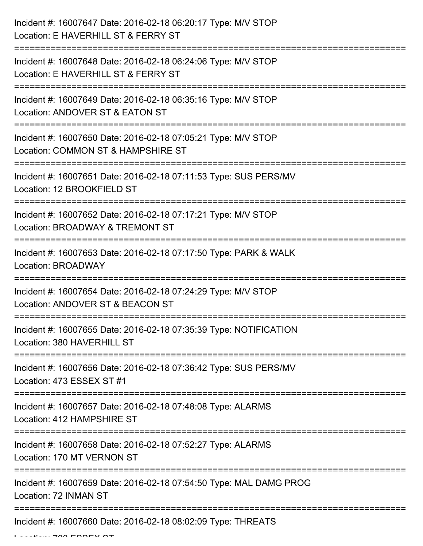| Incident #: 16007647 Date: 2016-02-18 06:20:17 Type: M/V STOP<br>Location: E HAVERHILL ST & FERRY ST |
|------------------------------------------------------------------------------------------------------|
| Incident #: 16007648 Date: 2016-02-18 06:24:06 Type: M/V STOP<br>Location: E HAVERHILL ST & FERRY ST |
| Incident #: 16007649 Date: 2016-02-18 06:35:16 Type: M/V STOP<br>Location: ANDOVER ST & EATON ST     |
| Incident #: 16007650 Date: 2016-02-18 07:05:21 Type: M/V STOP<br>Location: COMMON ST & HAMPSHIRE ST  |
| Incident #: 16007651 Date: 2016-02-18 07:11:53 Type: SUS PERS/MV<br>Location: 12 BROOKFIELD ST       |
| Incident #: 16007652 Date: 2016-02-18 07:17:21 Type: M/V STOP<br>Location: BROADWAY & TREMONT ST     |
| Incident #: 16007653 Date: 2016-02-18 07:17:50 Type: PARK & WALK<br><b>Location: BROADWAY</b>        |
| Incident #: 16007654 Date: 2016-02-18 07:24:29 Type: M/V STOP<br>Location: ANDOVER ST & BEACON ST    |
| Incident #: 16007655 Date: 2016-02-18 07:35:39 Type: NOTIFICATION<br>Location: 380 HAVERHILL ST      |
| Incident #: 16007656 Date: 2016-02-18 07:36:42 Type: SUS PERS/MV<br>Location: 473 ESSEX ST #1        |
| Incident #: 16007657 Date: 2016-02-18 07:48:08 Type: ALARMS<br>Location: 412 HAMPSHIRE ST            |
| Incident #: 16007658 Date: 2016-02-18 07:52:27 Type: ALARMS<br>Location: 170 MT VERNON ST            |
| Incident #: 16007659 Date: 2016-02-18 07:54:50 Type: MAL DAMG PROG<br>Location: 72 INMAN ST          |
| Incident #: 16007660 Date: 2016-02-18 08:02:09 Type: THREATS                                         |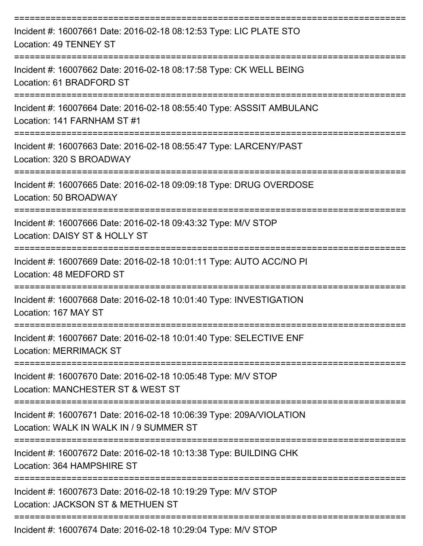| Incident #: 16007661 Date: 2016-02-18 08:12:53 Type: LIC PLATE STO<br><b>Location: 49 TENNEY ST</b>            |
|----------------------------------------------------------------------------------------------------------------|
| Incident #: 16007662 Date: 2016-02-18 08:17:58 Type: CK WELL BEING<br>Location: 61 BRADFORD ST                 |
| Incident #: 16007664 Date: 2016-02-18 08:55:40 Type: ASSSIT AMBULANC<br>Location: 141 FARNHAM ST #1            |
| Incident #: 16007663 Date: 2016-02-18 08:55:47 Type: LARCENY/PAST<br>Location: 320 S BROADWAY                  |
| Incident #: 16007665 Date: 2016-02-18 09:09:18 Type: DRUG OVERDOSE<br>Location: 50 BROADWAY                    |
| Incident #: 16007666 Date: 2016-02-18 09:43:32 Type: M/V STOP<br>Location: DAISY ST & HOLLY ST                 |
| Incident #: 16007669 Date: 2016-02-18 10:01:11 Type: AUTO ACC/NO PI<br>Location: 48 MEDFORD ST                 |
| Incident #: 16007668 Date: 2016-02-18 10:01:40 Type: INVESTIGATION<br>Location: 167 MAY ST                     |
| Incident #: 16007667 Date: 2016-02-18 10:01:40 Type: SELECTIVE ENF<br><b>Location: MERRIMACK ST</b>            |
| Incident #: 16007670 Date: 2016-02-18 10:05:48 Type: M/V STOP<br>Location: MANCHESTER ST & WEST ST             |
| Incident #: 16007671 Date: 2016-02-18 10:06:39 Type: 209A/VIOLATION<br>Location: WALK IN WALK IN / 9 SUMMER ST |
| Incident #: 16007672 Date: 2016-02-18 10:13:38 Type: BUILDING CHK<br>Location: 364 HAMPSHIRE ST                |
| Incident #: 16007673 Date: 2016-02-18 10:19:29 Type: M/V STOP<br>Location: JACKSON ST & METHUEN ST             |
| Incident #: 16007674 Date: 2016-02-18 10:29:04 Type: M/V STOP                                                  |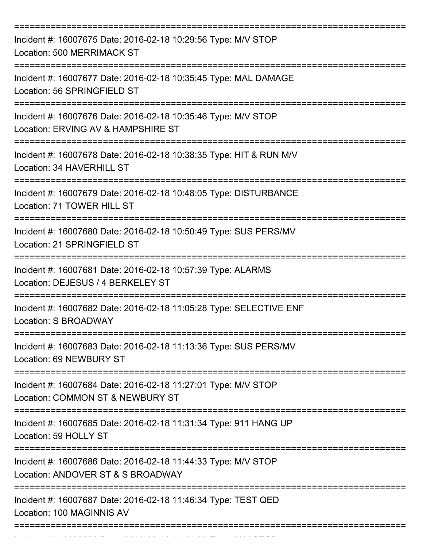| Incident #: 16007675 Date: 2016-02-18 10:29:56 Type: M/V STOP<br>Location: 500 MERRIMACK ST         |
|-----------------------------------------------------------------------------------------------------|
| Incident #: 16007677 Date: 2016-02-18 10:35:45 Type: MAL DAMAGE<br>Location: 56 SPRINGFIELD ST      |
| Incident #: 16007676 Date: 2016-02-18 10:35:46 Type: M/V STOP<br>Location: ERVING AV & HAMPSHIRE ST |
| Incident #: 16007678 Date: 2016-02-18 10:38:35 Type: HIT & RUN M/V<br>Location: 34 HAVERHILL ST     |
| Incident #: 16007679 Date: 2016-02-18 10:48:05 Type: DISTURBANCE<br>Location: 71 TOWER HILL ST      |
| Incident #: 16007680 Date: 2016-02-18 10:50:49 Type: SUS PERS/MV<br>Location: 21 SPRINGFIELD ST     |
| Incident #: 16007681 Date: 2016-02-18 10:57:39 Type: ALARMS<br>Location: DEJESUS / 4 BERKELEY ST    |
| Incident #: 16007682 Date: 2016-02-18 11:05:28 Type: SELECTIVE ENF<br>Location: S BROADWAY          |
| Incident #: 16007683 Date: 2016-02-18 11:13:36 Type: SUS PERS/MV<br>Location: 69 NEWBURY ST         |
| Incident #: 16007684 Date: 2016-02-18 11:27:01 Type: M/V STOP<br>Location: COMMON ST & NEWBURY ST   |
| Incident #: 16007685 Date: 2016-02-18 11:31:34 Type: 911 HANG UP<br>Location: 59 HOLLY ST           |
| Incident #: 16007686 Date: 2016-02-18 11:44:33 Type: M/V STOP<br>Location: ANDOVER ST & S BROADWAY  |
| Incident #: 16007687 Date: 2016-02-18 11:46:34 Type: TEST QED<br>Location: 100 MAGINNIS AV          |
|                                                                                                     |

Incident #: 16007688 Date: 2016 02 18 11:54:28 Type: M/V STOP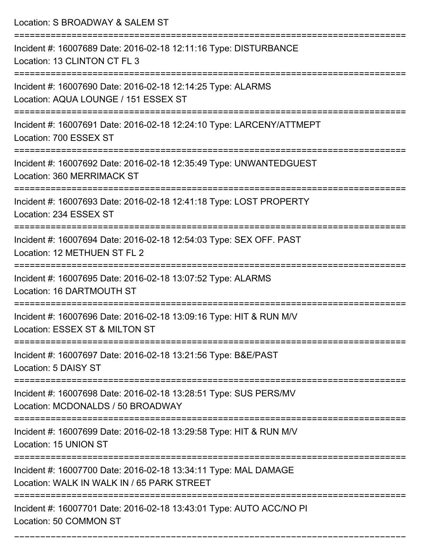Location: S BROADWAY & SALEM ST =========================================================================== Incident #: 16007689 Date: 2016-02-18 12:11:16 Type: DISTURBANCE Location: 13 CLINTON CT FL 3 =========================================================================== Incident #: 16007690 Date: 2016-02-18 12:14:25 Type: ALARMS Location: AQUA LOUNGE / 151 ESSEX ST =========================================================================== Incident #: 16007691 Date: 2016-02-18 12:24:10 Type: LARCENY/ATTMEPT Location: 700 ESSEX ST =========================================================================== Incident #: 16007692 Date: 2016-02-18 12:35:49 Type: UNWANTEDGUEST Location: 360 MERRIMACK ST =========================================================================== Incident #: 16007693 Date: 2016-02-18 12:41:18 Type: LOST PROPERTY Location: 234 ESSEX ST =========================================================================== Incident #: 16007694 Date: 2016-02-18 12:54:03 Type: SEX OFF. PAST Location: 12 METHUEN ST FL 2 =========================================================================== Incident #: 16007695 Date: 2016-02-18 13:07:52 Type: ALARMS Location: 16 DARTMOUTH ST =========================================================================== Incident #: 16007696 Date: 2016-02-18 13:09:16 Type: HIT & RUN M/V Location: ESSEX ST & MILTON ST =========================================================================== Incident #: 16007697 Date: 2016-02-18 13:21:56 Type: B&E/PAST Location: 5 DAISY ST =========================================================================== Incident #: 16007698 Date: 2016-02-18 13:28:51 Type: SUS PERS/MV Location: MCDONALDS / 50 BROADWAY =========================================================================== Incident #: 16007699 Date: 2016-02-18 13:29:58 Type: HIT & RUN M/V Location: 15 UNION ST =========================================================================== Incident #: 16007700 Date: 2016-02-18 13:34:11 Type: MAL DAMAGE Location: WALK IN WALK IN / 65 PARK STREET =========================================================================== Incident #: 16007701 Date: 2016-02-18 13:43:01 Type: AUTO ACC/NO PI Location: 50 COMMON ST

===========================================================================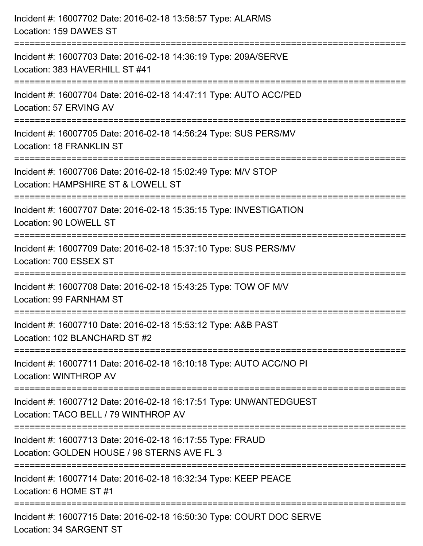| Incident #: 16007702 Date: 2016-02-18 13:58:57 Type: ALARMS<br>Location: 159 DAWES ST                      |
|------------------------------------------------------------------------------------------------------------|
| Incident #: 16007703 Date: 2016-02-18 14:36:19 Type: 209A/SERVE<br>Location: 383 HAVERHILL ST #41          |
| Incident #: 16007704 Date: 2016-02-18 14:47:11 Type: AUTO ACC/PED<br>Location: 57 ERVING AV                |
| Incident #: 16007705 Date: 2016-02-18 14:56:24 Type: SUS PERS/MV<br>Location: 18 FRANKLIN ST               |
| Incident #: 16007706 Date: 2016-02-18 15:02:49 Type: M/V STOP<br>Location: HAMPSHIRE ST & LOWELL ST        |
| Incident #: 16007707 Date: 2016-02-18 15:35:15 Type: INVESTIGATION<br>Location: 90 LOWELL ST               |
| Incident #: 16007709 Date: 2016-02-18 15:37:10 Type: SUS PERS/MV<br>Location: 700 ESSEX ST                 |
| Incident #: 16007708 Date: 2016-02-18 15:43:25 Type: TOW OF M/V<br>Location: 99 FARNHAM ST                 |
| Incident #: 16007710 Date: 2016-02-18 15:53:12 Type: A&B PAST<br>Location: 102 BLANCHARD ST #2             |
| Incident #: 16007711 Date: 2016-02-18 16:10:18 Type: AUTO ACC/NO PI<br>Location: WINTHROP AV               |
| Incident #: 16007712 Date: 2016-02-18 16:17:51 Type: UNWANTEDGUEST<br>Location: TACO BELL / 79 WINTHROP AV |
| Incident #: 16007713 Date: 2016-02-18 16:17:55 Type: FRAUD<br>Location: GOLDEN HOUSE / 98 STERNS AVE FL 3  |
| Incident #: 16007714 Date: 2016-02-18 16:32:34 Type: KEEP PEACE<br>Location: 6 HOME ST #1                  |
| Incident #: 16007715 Date: 2016-02-18 16:50:30 Type: COURT DOC SERVE<br>Location: 34 SARGENT ST            |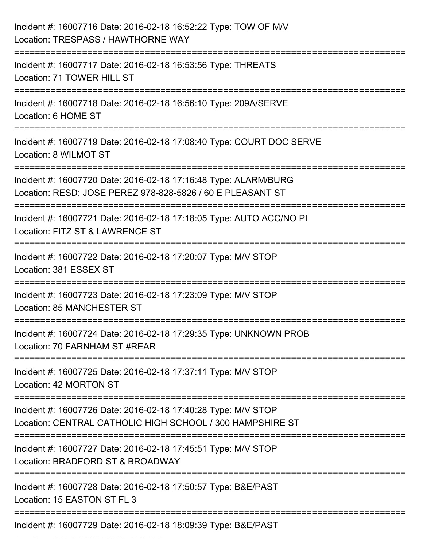| Incident #: 16007716 Date: 2016-02-18 16:52:22 Type: TOW OF M/V<br>Location: TRESPASS / HAWTHORNE WAY                                     |
|-------------------------------------------------------------------------------------------------------------------------------------------|
| ---------------------<br>Incident #: 16007717 Date: 2016-02-18 16:53:56 Type: THREATS<br>Location: 71 TOWER HILL ST                       |
| Incident #: 16007718 Date: 2016-02-18 16:56:10 Type: 209A/SERVE<br>Location: 6 HOME ST                                                    |
| Incident #: 16007719 Date: 2016-02-18 17:08:40 Type: COURT DOC SERVE<br>Location: 8 WILMOT ST                                             |
| Incident #: 16007720 Date: 2016-02-18 17:16:48 Type: ALARM/BURG<br>Location: RESD; JOSE PEREZ 978-828-5826 / 60 E PLEASANT ST             |
| Incident #: 16007721 Date: 2016-02-18 17:18:05 Type: AUTO ACC/NO PI<br>Location: FITZ ST & LAWRENCE ST                                    |
| Incident #: 16007722 Date: 2016-02-18 17:20:07 Type: M/V STOP<br>Location: 381 ESSEX ST                                                   |
| Incident #: 16007723 Date: 2016-02-18 17:23:09 Type: M/V STOP<br>Location: 85 MANCHESTER ST                                               |
| Incident #: 16007724 Date: 2016-02-18 17:29:35 Type: UNKNOWN PROB<br>Location: 70 FARNHAM ST #REAR                                        |
| Incident #: 16007725 Date: 2016-02-18 17:37:11 Type: M/V STOP<br>Location: 42 MORTON ST                                                   |
| Incident #: 16007726 Date: 2016-02-18 17:40:28 Type: M/V STOP<br>Location: CENTRAL CATHOLIC HIGH SCHOOL / 300 HAMPSHIRE ST                |
| ====================================<br>Incident #: 16007727 Date: 2016-02-18 17:45:51 Type: M/V STOP<br>Location: BRADFORD ST & BROADWAY |
| Incident #: 16007728 Date: 2016-02-18 17:50:57 Type: B&E/PAST<br>Location: 15 EASTON ST FL 3                                              |
| Incident #: 16007729 Date: 2016-02-18 18:09:39 Type: B&E/PAST                                                                             |

 $\mathcal{L} = \mathcal{L} \times \mathcal{L} = \mathcal{L} \times \mathcal{L} = \mathcal{L} \times \mathcal{L} = \mathcal{L} \times \mathcal{L} = \mathcal{L} \times \mathcal{L} = \mathcal{L} \times \mathcal{L} = \mathcal{L} \times \mathcal{L} = \mathcal{L} \times \mathcal{L} = \mathcal{L} \times \mathcal{L} = \mathcal{L} \times \mathcal{L} = \mathcal{L} \times \mathcal{L} = \mathcal{L} \times \mathcal{L} = \mathcal{L} \times \mathcal{L} = \mathcal{L} \times \mathcal{L} = \mathcal$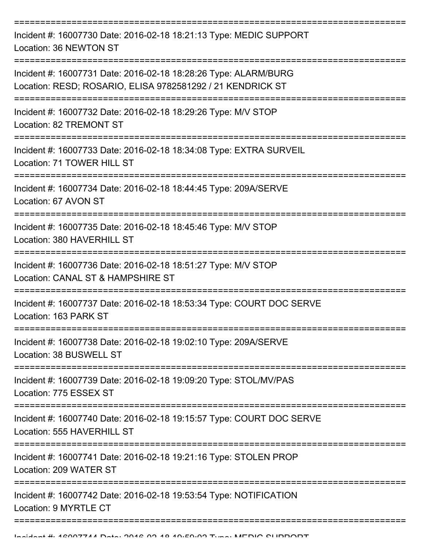| Incident #: 16007730 Date: 2016-02-18 18:21:13 Type: MEDIC SUPPORT<br>Location: 36 NEWTON ST                                       |
|------------------------------------------------------------------------------------------------------------------------------------|
| Incident #: 16007731 Date: 2016-02-18 18:28:26 Type: ALARM/BURG<br>Location: RESD; ROSARIO, ELISA 9782581292 / 21 KENDRICK ST      |
| ======================================<br>Incident #: 16007732 Date: 2016-02-18 18:29:26 Type: M/V STOP<br>Location: 82 TREMONT ST |
| Incident #: 16007733 Date: 2016-02-18 18:34:08 Type: EXTRA SURVEIL<br>Location: 71 TOWER HILL ST                                   |
| Incident #: 16007734 Date: 2016-02-18 18:44:45 Type: 209A/SERVE<br>Location: 67 AVON ST                                            |
| Incident #: 16007735 Date: 2016-02-18 18:45:46 Type: M/V STOP<br>Location: 380 HAVERHILL ST                                        |
| Incident #: 16007736 Date: 2016-02-18 18:51:27 Type: M/V STOP<br>Location: CANAL ST & HAMPSHIRE ST                                 |
| Incident #: 16007737 Date: 2016-02-18 18:53:34 Type: COURT DOC SERVE<br>Location: 163 PARK ST                                      |
| Incident #: 16007738 Date: 2016-02-18 19:02:10 Type: 209A/SERVE<br>Location: 38 BUSWELL ST                                         |
| Incident #: 16007739 Date: 2016-02-18 19:09:20 Type: STOL/MV/PAS<br>Location: 775 ESSEX ST                                         |
| Incident #: 16007740 Date: 2016-02-18 19:15:57 Type: COURT DOC SERVE<br>Location: 555 HAVERHILL ST                                 |
| Incident #: 16007741 Date: 2016-02-18 19:21:16 Type: STOLEN PROP<br>Location: 209 WATER ST                                         |
| Incident #: 16007742 Date: 2016-02-18 19:53:54 Type: NOTIFICATION<br>Location: 9 MYRTLE CT                                         |
|                                                                                                                                    |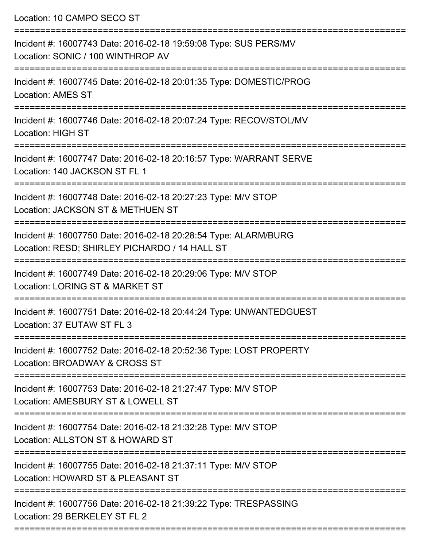Location: 10 CAMPO SECO ST

| Incident #: 16007743 Date: 2016-02-18 19:59:08 Type: SUS PERS/MV<br>Location: SONIC / 100 WINTHROP AV                                    |
|------------------------------------------------------------------------------------------------------------------------------------------|
| Incident #: 16007745 Date: 2016-02-18 20:01:35 Type: DOMESTIC/PROG<br><b>Location: AMES ST</b>                                           |
| Incident #: 16007746 Date: 2016-02-18 20:07:24 Type: RECOV/STOL/MV<br>Location: HIGH ST                                                  |
| Incident #: 16007747 Date: 2016-02-18 20:16:57 Type: WARRANT SERVE<br>Location: 140 JACKSON ST FL 1                                      |
| Incident #: 16007748 Date: 2016-02-18 20:27:23 Type: M/V STOP<br>Location: JACKSON ST & METHUEN ST                                       |
| Incident #: 16007750 Date: 2016-02-18 20:28:54 Type: ALARM/BURG<br>Location: RESD; SHIRLEY PICHARDO / 14 HALL ST                         |
| Incident #: 16007749 Date: 2016-02-18 20:29:06 Type: M/V STOP<br>Location: LORING ST & MARKET ST                                         |
| Incident #: 16007751 Date: 2016-02-18 20:44:24 Type: UNWANTEDGUEST<br>Location: 37 EUTAW ST FL 3                                         |
| Incident #: 16007752 Date: 2016-02-18 20:52:36 Type: LOST PROPERTY<br>Location: BROADWAY & CROSS ST                                      |
| Incident #: 16007753 Date: 2016-02-18 21:27:47 Type: M/V STOP<br>Location: AMESBURY ST & LOWELL ST                                       |
| Incident #: 16007754 Date: 2016-02-18 21:32:28 Type: M/V STOP<br>Location: ALLSTON ST & HOWARD ST                                        |
| Incident #: 16007755 Date: 2016-02-18 21:37:11 Type: M/V STOP<br>Location: HOWARD ST & PLEASANT ST                                       |
| Incident #: 16007756 Date: 2016-02-18 21:39:22 Type: TRESPASSING<br>Location: 29 BERKELEY ST FL 2<br>=================================== |
|                                                                                                                                          |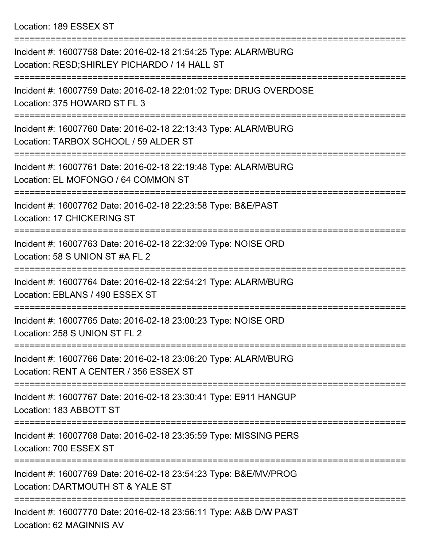Location: 189 ESSEX ST

| Incident #: 16007758 Date: 2016-02-18 21:54:25 Type: ALARM/BURG<br>Location: RESD; SHIRLEY PICHARDO / 14 HALL ST<br>--------------------- |
|-------------------------------------------------------------------------------------------------------------------------------------------|
| Incident #: 16007759 Date: 2016-02-18 22:01:02 Type: DRUG OVERDOSE<br>Location: 375 HOWARD ST FL 3                                        |
| Incident #: 16007760 Date: 2016-02-18 22:13:43 Type: ALARM/BURG<br>Location: TARBOX SCHOOL / 59 ALDER ST                                  |
| Incident #: 16007761 Date: 2016-02-18 22:19:48 Type: ALARM/BURG<br>Location: EL MOFONGO / 64 COMMON ST                                    |
| Incident #: 16007762 Date: 2016-02-18 22:23:58 Type: B&E/PAST<br><b>Location: 17 CHICKERING ST</b>                                        |
| Incident #: 16007763 Date: 2016-02-18 22:32:09 Type: NOISE ORD<br>Location: 58 S UNION ST #A FL 2                                         |
| Incident #: 16007764 Date: 2016-02-18 22:54:21 Type: ALARM/BURG<br>Location: EBLANS / 490 ESSEX ST                                        |
| Incident #: 16007765 Date: 2016-02-18 23:00:23 Type: NOISE ORD<br>Location: 258 S UNION ST FL 2                                           |
| Incident #: 16007766 Date: 2016-02-18 23:06:20 Type: ALARM/BURG<br>Location: RENT A CENTER / 356 ESSEX ST                                 |
| Incident #: 16007767 Date: 2016-02-18 23:30:41 Type: E911 HANGUP<br>Location: 183 ABBOTT ST                                               |
| Incident #: 16007768 Date: 2016-02-18 23:35:59 Type: MISSING PERS<br>Location: 700 ESSEX ST                                               |
| Incident #: 16007769 Date: 2016-02-18 23:54:23 Type: B&E/MV/PROG<br>Location: DARTMOUTH ST & YALE ST                                      |
| Incident #: 16007770 Date: 2016-02-18 23:56:11 Type: A&B D/W PAST<br>Location: 62 MAGINNIS AV                                             |